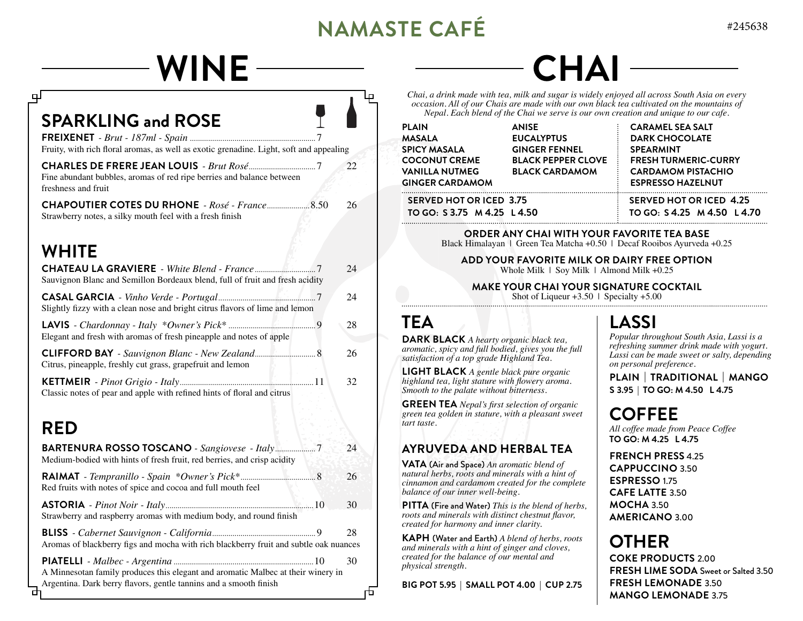# **NAMASTE CAFÉ** #245638

| <b>WINE</b>                                                                                                                                                  |          |                                                                                                                                                                                                                                                                                                                                                                                   |                                                           |                                                                                                                                                                                                                                                                                 |  |
|--------------------------------------------------------------------------------------------------------------------------------------------------------------|----------|-----------------------------------------------------------------------------------------------------------------------------------------------------------------------------------------------------------------------------------------------------------------------------------------------------------------------------------------------------------------------------------|-----------------------------------------------------------|---------------------------------------------------------------------------------------------------------------------------------------------------------------------------------------------------------------------------------------------------------------------------------|--|
| ௪                                                                                                                                                            | டி       |                                                                                                                                                                                                                                                                                                                                                                                   |                                                           | Chai, a drink made with tea, milk and sugar is widely enjoyed all across South Asia on every<br>occasion. All of our Chais are made with our own black tea cultivated on the mountains of<br>Nepal. Each blend of the Chai we serve is our own creation and unique to our cafe. |  |
| <b>SPARKLING and ROSE</b><br>Fruity, with rich floral aromas, as well as exotic grenadine. Light, soft and appealing                                         |          | <b>PLAIN</b><br><b>MASALA</b><br><b>SPICY MASALA</b>                                                                                                                                                                                                                                                                                                                              | <b>ANISE</b><br><b>EUCALYPTUS</b><br><b>GINGER FENNEL</b> | <b>CARAMEL SEA SALT</b><br><b>DARK CHOCOLATE</b><br><b>SPEARMINT</b>                                                                                                                                                                                                            |  |
| Fine abundant bubbles, aromas of red ripe berries and balance between<br>freshness and fruit                                                                 | 22       | <b>COCONUT CREME</b><br><b>VANILLA NUTMEG</b><br><b>GINGER CARDAMOM</b>                                                                                                                                                                                                                                                                                                           | <b>BLACK PEPPER CLOVE</b><br><b>BLACK CARDAMOM</b>        | <b>FRESH TURMERIC-CURRY</b><br><b>CARDAMOM PISTACHIO</b><br><b>ESPRESSO HAZELNUT</b>                                                                                                                                                                                            |  |
| Strawberry notes, a silky mouth feel with a fresh finish                                                                                                     |          | <b>SERVED HOT OR ICED 3.75</b><br>TO GO: S 3.75 M 4.25 L 4.50 TO GO: S 4.25 M 4.50 L 4.70                                                                                                                                                                                                                                                                                         |                                                           | <b>SERVED HOT OR ICED 4.25</b>                                                                                                                                                                                                                                                  |  |
| <b>WHITE</b>                                                                                                                                                 |          |                                                                                                                                                                                                                                                                                                                                                                                   |                                                           | ORDER ANY CHAI WITH YOUR FAVORITE TEA BASE<br>Black Himalayan   Green Tea Matcha +0.50   Decaf Rooibos Ayurveda +0.25                                                                                                                                                           |  |
|                                                                                                                                                              | 24       | ADD YOUR FAVORITE MILK OR DAIRY FREE OPTION<br>Whole Milk   Soy Milk   Almond Milk +0.25<br><b>MAKE YOUR CHAI YOUR SIGNATURE COCKTAIL</b><br>Shot of Liqueur $+3.50$   Specialty $+5.00$                                                                                                                                                                                          |                                                           |                                                                                                                                                                                                                                                                                 |  |
| Sauvignon Blanc and Semillon Bordeaux blend, full of fruit and fresh acidity<br>Slightly fizzy with a clean nose and bright citrus flavors of lime and lemon | 24       |                                                                                                                                                                                                                                                                                                                                                                                   |                                                           |                                                                                                                                                                                                                                                                                 |  |
|                                                                                                                                                              | 28       | <b>TEA</b>                                                                                                                                                                                                                                                                                                                                                                        |                                                           | <b>LASSI</b>                                                                                                                                                                                                                                                                    |  |
| Elegant and fresh with aromas of fresh pineapple and notes of apple<br>CLIFFORD BAY - Sauvignon Blanc - New Zealand 8                                        | 26       | <b>DARK BLACK</b> A hearty organic black tea,<br>aromatic, spicy and full bodied, gives you the full<br>satisfaction of a top grade Highland Tea.                                                                                                                                                                                                                                 |                                                           | Popular throughout South Asia, Lassi is a<br>refreshing summer drink made with yogurt.<br>Lassi can be made sweet or salty, depending<br>on personal preference.                                                                                                                |  |
| Citrus, pineapple, freshly cut grass, grapefruit and lemon<br>Classic notes of pear and apple with refined hints of floral and citrus                        | 32       | <b>LIGHT BLACK</b> A gentle black pure organic<br>highland tea, light stature with flowery aroma.<br>Smooth to the palate without bitterness.                                                                                                                                                                                                                                     |                                                           | PLAIN   TRADITIONAL   MANGO<br>S 3.95   TO GO: M 4.50 L 4.75                                                                                                                                                                                                                    |  |
| <b>RED</b>                                                                                                                                                   |          | <b>GREEN TEA</b> Nepal's first selection of organic<br>green tea golden in stature, with a pleasant sweet<br>tart taste.                                                                                                                                                                                                                                                          |                                                           | <b>COFFEE</b><br>All coffee made from Peace Coffee                                                                                                                                                                                                                              |  |
| Medium-bodied with hints of fresh fruit, red berries, and crisp acidity                                                                                      | 24       | <b>AYRUVEDA AND HERBAL TEA</b><br>VATA (Air and Space) An aromatic blend of<br>natural herbs, roots and minerals with a hint of<br>cinnamon and cardamom created for the complete<br>balance of our inner well-being.<br><b>PITTA</b> (Fire and Water) This is the blend of herbs,<br>roots and minerals with distinct chestnut flavor,<br>created for harmony and inner clarity. |                                                           | TO GO: M 4.25 L 4.75<br><b>FRENCH PRESS 4.25</b><br><b>CAPPUCCINO 3.50</b><br>ESPRESSO 1.75<br><b>CAFE LATTE 3.50</b><br><b>MOCHA 3.50</b><br><b>AMERICANO 3.00</b>                                                                                                             |  |
| Red fruits with notes of spice and cocoa and full mouth feel                                                                                                 | 26       |                                                                                                                                                                                                                                                                                                                                                                                   |                                                           |                                                                                                                                                                                                                                                                                 |  |
| Strawberry and raspberry aromas with medium body, and round finish                                                                                           | 30       |                                                                                                                                                                                                                                                                                                                                                                                   |                                                           |                                                                                                                                                                                                                                                                                 |  |
| Aromas of blackberry figs and mocha with rich blackberry fruit and subtle oak nuances                                                                        | 28<br>30 | KAPH (Water and Earth) A blend of herbs, roots<br>and minerals with a hint of ginger and cloves,<br>created for the balance of our mental and<br>physical strength.                                                                                                                                                                                                               |                                                           | <b>OTHER</b><br><b>COKE PRODUCTS 2.00</b>                                                                                                                                                                                                                                       |  |
| A Minnesotan family produces this elegant and aromatic Malbec at their winery in<br>Argentina. Dark berry flavors, gentle tannins and a smooth finish<br>ᇚ   | 币        | BIG POT 5.95   SMALL POT 4.00   CUP 2.75                                                                                                                                                                                                                                                                                                                                          |                                                           | <b>FRESH LIME SODA</b> Sweet or Salted 3.50<br><b>FRESH LEMONADE 3.50</b><br><b>MANGO LEMONADE 3.75</b>                                                                                                                                                                         |  |